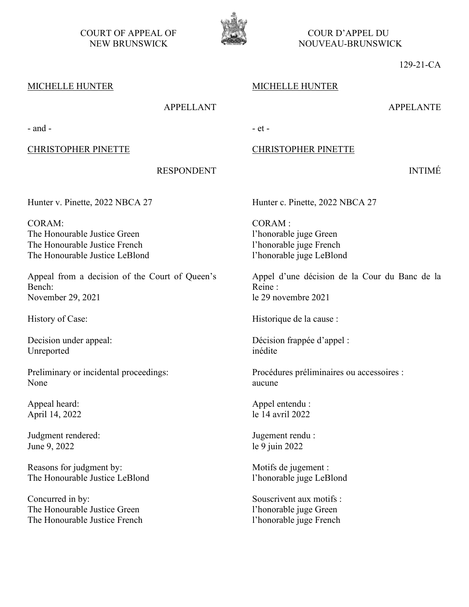COURT OF APPEAL OF COUR D'APPEL DU



NEW BRUNSWICK WELL THE NOUVEAU-BRUNSWICK

129-21-CA

APPELANTE

INTIMÉ

# MICHELLE HUNTER

# MICHELLE HUNTER

# APPELLANT

 $-$  and  $-$ 

## CHRISTOPHER PINETTE

# CHRISTOPHER PINETTE

RESPONDENT

Hunter v. Pinette, 2022 NBCA 27

CORAM: The Honourable Justice Green The Honourable Justice French The Honourable Justice LeBlond

Appeal from a decision of the Court of Queen's Bench: November 29, 2021

Decision under appeal: Unreported

Preliminary or incidental proceedings: None

Appeal heard: April 14, 2022

Judgment rendered: June 9, 2022

Reasons for judgment by: The Honourable Justice LeBlond

Concurred in by: The Honourable Justice Green The Honourable Justice French Hunter c. Pinette, 2022 NBCA 27

CORAM : l'honorable juge Green l'honorable juge French l'honorable juge LeBlond

Appel d'une décision de la Cour du Banc de la Reine : le 29 novembre 2021

History of Case: Historique de la cause :

Décision frappée d'appel : inédite

Procédures préliminaires ou accessoires : aucune

Appel entendu : le 14 avril 2022

Jugement rendu : le 9 juin 2022

Motifs de jugement : l'honorable juge LeBlond

Souscrivent aux motifs : l'honorable juge Green l'honorable juge French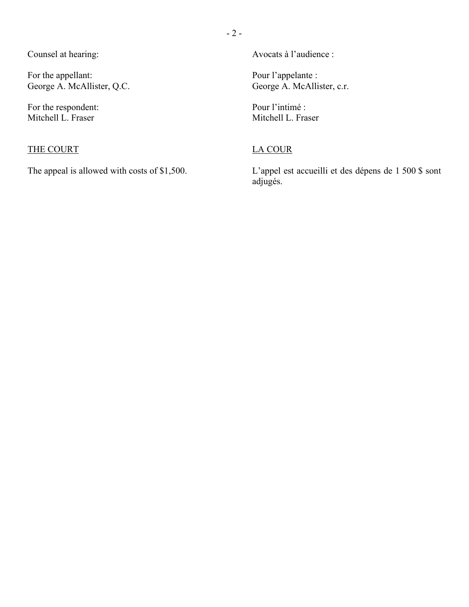Counsel at hearing:

For the appellant: George A. McAllister, Q.C.

For the respondent: Mitchell L. Fraser

# THE COURT

The appeal is allowed with costs of \$1,500.

Avocats à l'audience :

Pour l'appelante : George A. McAllister, c.r.

Pour l'intimé : Mitchell L. Fraser

# LA COUR

L'appel est accueilli et des dépens de 1 500 \$ sont adjugés.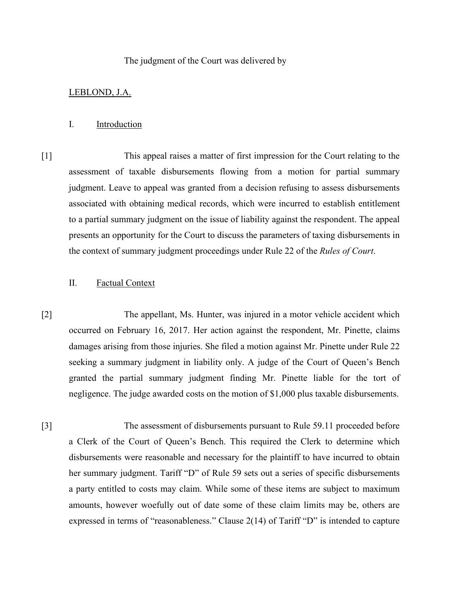#### The judgment of the Court was delivered by

### LEBLOND, J.A.

### I. Introduction

[1] This appeal raises a matter of first impression for the Court relating to the assessment of taxable disbursements flowing from a motion for partial summary judgment. Leave to appeal was granted from a decision refusing to assess disbursements associated with obtaining medical records, which were incurred to establish entitlement to a partial summary judgment on the issue of liability against the respondent. The appeal presents an opportunity for the Court to discuss the parameters of taxing disbursements in the context of summary judgment proceedings under Rule 22 of the *Rules of Court*.

# II. Factual Context

[2] The appellant, Ms. Hunter, was injured in a motor vehicle accident which occurred on February 16, 2017. Her action against the respondent, Mr. Pinette, claims damages arising from those injuries. She filed a motion against Mr. Pinette under Rule 22 seeking a summary judgment in liability only. A judge of the Court of Queen's Bench granted the partial summary judgment finding Mr. Pinette liable for the tort of negligence. The judge awarded costs on the motion of \$1,000 plus taxable disbursements.

[3] The assessment of disbursements pursuant to Rule 59.11 proceeded before a Clerk of the Court of Queen's Bench. This required the Clerk to determine which disbursements were reasonable and necessary for the plaintiff to have incurred to obtain her summary judgment. Tariff "D" of Rule 59 sets out a series of specific disbursements a party entitled to costs may claim. While some of these items are subject to maximum amounts, however woefully out of date some of these claim limits may be, others are expressed in terms of "reasonableness." Clause 2(14) of Tariff "D" is intended to capture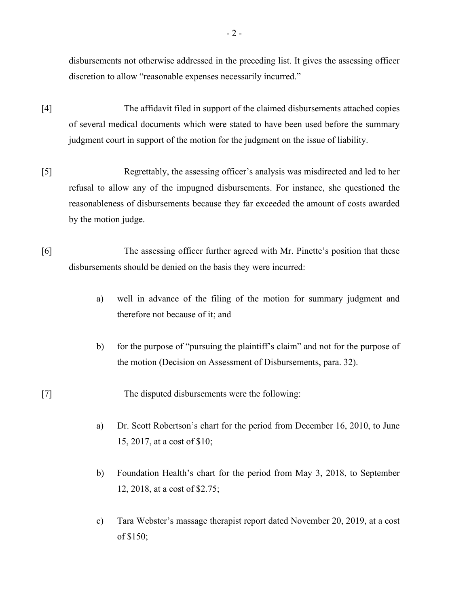disbursements not otherwise addressed in the preceding list. It gives the assessing officer discretion to allow "reasonable expenses necessarily incurred."

- [4] The affidavit filed in support of the claimed disbursements attached copies of several medical documents which were stated to have been used before the summary judgment court in support of the motion for the judgment on the issue of liability.
- [5] Regrettably, the assessing officer's analysis was misdirected and led to her refusal to allow any of the impugned disbursements. For instance, she questioned the reasonableness of disbursements because they far exceeded the amount of costs awarded by the motion judge.
- [6] The assessing officer further agreed with Mr. Pinette's position that these disbursements should be denied on the basis they were incurred:
	- a) well in advance of the filing of the motion for summary judgment and therefore not because of it; and
	- b) for the purpose of "pursuing the plaintiff's claim" and not for the purpose of the motion (Decision on Assessment of Disbursements, para. 32).

[7] The disputed disbursements were the following:

- a) Dr. Scott Robertson's chart for the period from December 16, 2010, to June 15, 2017, at a cost of \$10;
- b) Foundation Health's chart for the period from May 3, 2018, to September 12, 2018, at a cost of \$2.75;
- c) Tara Webster's massage therapist report dated November 20, 2019, at a cost of \$150;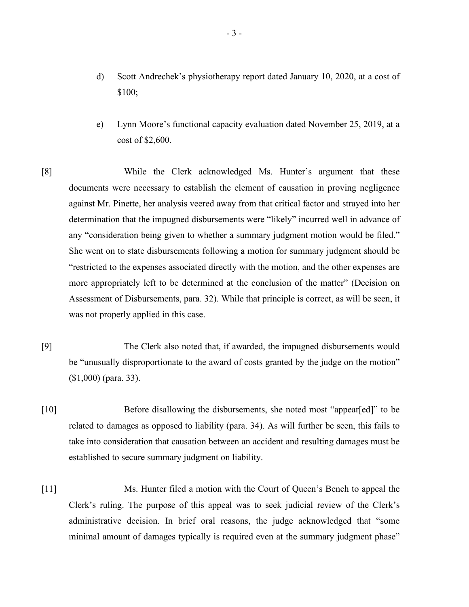- d) Scott Andrechek's physiotherapy report dated January 10, 2020, at a cost of \$100;
- e) Lynn Moore's functional capacity evaluation dated November 25, 2019, at a cost of \$2,600.
- [8] While the Clerk acknowledged Ms. Hunter's argument that these documents were necessary to establish the element of causation in proving negligence against Mr. Pinette, her analysis veered away from that critical factor and strayed into her determination that the impugned disbursements were "likely" incurred well in advance of any "consideration being given to whether a summary judgment motion would be filed." She went on to state disbursements following a motion for summary judgment should be "restricted to the expenses associated directly with the motion, and the other expenses are more appropriately left to be determined at the conclusion of the matter" (Decision on Assessment of Disbursements, para. 32). While that principle is correct, as will be seen, it was not properly applied in this case.
- [9] The Clerk also noted that, if awarded, the impugned disbursements would be "unusually disproportionate to the award of costs granted by the judge on the motion" (\$1,000) (para. 33).
- [10] Before disallowing the disbursements, she noted most "appear[ed]" to be related to damages as opposed to liability (para. 34). As will further be seen, this fails to take into consideration that causation between an accident and resulting damages must be established to secure summary judgment on liability.
- [11] Ms. Hunter filed a motion with the Court of Queen's Bench to appeal the Clerk's ruling. The purpose of this appeal was to seek judicial review of the Clerk's administrative decision. In brief oral reasons, the judge acknowledged that "some minimal amount of damages typically is required even at the summary judgment phase"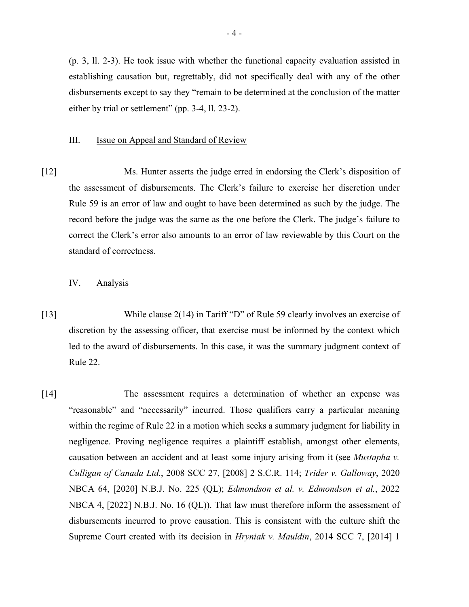(p. 3, ll. 2-3). He took issue with whether the functional capacity evaluation assisted in establishing causation but, regrettably, did not specifically deal with any of the other disbursements except to say they "remain to be determined at the conclusion of the matter either by trial or settlement" (pp. 3-4, ll. 23-2).

#### III. **Issue on Appeal and Standard of Review**

[12] Ms. Hunter asserts the judge erred in endorsing the Clerk's disposition of the assessment of disbursements. The Clerk's failure to exercise her discretion under Rule 59 is an error of law and ought to have been determined as such by the judge. The record before the judge was the same as the one before the Clerk. The judge's failure to correct the Clerk's error also amounts to an error of law reviewable by this Court on the standard of correctness.

## IV. Analysis

- [13] While clause 2(14) in Tariff "D" of Rule 59 clearly involves an exercise of discretion by the assessing officer, that exercise must be informed by the context which led to the award of disbursements. In this case, it was the summary judgment context of Rule 22.
- [14] The assessment requires a determination of whether an expense was "reasonable" and "necessarily" incurred. Those qualifiers carry a particular meaning within the regime of Rule 22 in a motion which seeks a summary judgment for liability in negligence. Proving negligence requires a plaintiff establish, amongst other elements, causation between an accident and at least some injury arising from it (see *Mustapha v. Culligan of Canada Ltd.*, 2008 SCC 27, [2008] 2 S.C.R. 114; *Trider v. Galloway*, 2020 NBCA 64, [2020] N.B.J. No. 225 (QL); *Edmondson et al. v. Edmondson et al.*, 2022 NBCA 4, [2022] N.B.J. No. 16 (QL)). That law must therefore inform the assessment of disbursements incurred to prove causation. This is consistent with the culture shift the Supreme Court created with its decision in *Hryniak v. Mauldin*, 2014 SCC 7, [2014] 1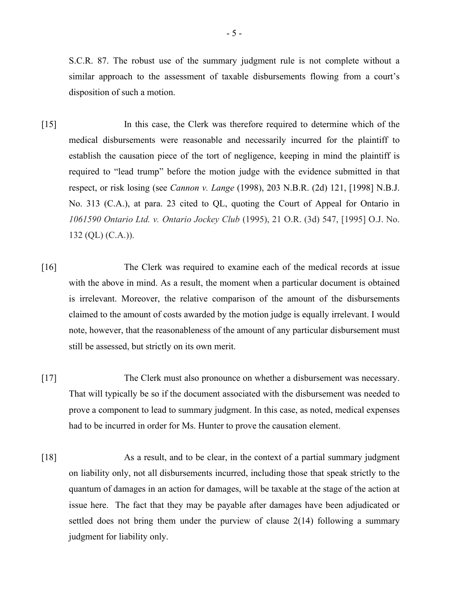S.C.R. 87. The robust use of the summary judgment rule is not complete without a similar approach to the assessment of taxable disbursements flowing from a court's disposition of such a motion.

- [15] In this case, the Clerk was therefore required to determine which of the medical disbursements were reasonable and necessarily incurred for the plaintiff to establish the causation piece of the tort of negligence, keeping in mind the plaintiff is required to "lead trump" before the motion judge with the evidence submitted in that respect, or risk losing (see *Cannon v. Lange* (1998), 203 N.B.R. (2d) 121, [1998] N.B.J. No. 313 (C.A.), at para. 23 cited to QL, quoting the Court of Appeal for Ontario in *1061590 Ontario Ltd. v. Ontario Jockey Club* (1995), 21 O.R. (3d) 547, [1995] O.J. No. 132 (QL) (C.A.)).
- [16] The Clerk was required to examine each of the medical records at issue with the above in mind. As a result, the moment when a particular document is obtained is irrelevant. Moreover, the relative comparison of the amount of the disbursements claimed to the amount of costs awarded by the motion judge is equally irrelevant. I would note, however, that the reasonableness of the amount of any particular disbursement must still be assessed, but strictly on its own merit.
- [17] The Clerk must also pronounce on whether a disbursement was necessary. That will typically be so if the document associated with the disbursement was needed to prove a component to lead to summary judgment. In this case, as noted, medical expenses had to be incurred in order for Ms. Hunter to prove the causation element.
- [18] As a result, and to be clear, in the context of a partial summary judgment on liability only, not all disbursements incurred, including those that speak strictly to the quantum of damages in an action for damages, will be taxable at the stage of the action at issue here. The fact that they may be payable after damages have been adjudicated or settled does not bring them under the purview of clause 2(14) following a summary judgment for liability only.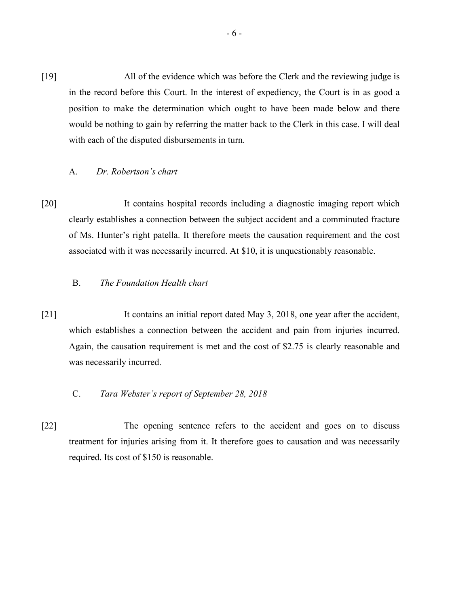[19] All of the evidence which was before the Clerk and the reviewing judge is in the record before this Court. In the interest of expediency, the Court is in as good a position to make the determination which ought to have been made below and there would be nothing to gain by referring the matter back to the Clerk in this case. I will deal with each of the disputed disbursements in turn.

#### A. *Dr. Robertson's chart*

[20] It contains hospital records including a diagnostic imaging report which clearly establishes a connection between the subject accident and a comminuted fracture of Ms. Hunter's right patella. It therefore meets the causation requirement and the cost associated with it was necessarily incurred. At \$10, it is unquestionably reasonable.

# B. *The Foundation Health chart*

- [21] It contains an initial report dated May 3, 2018, one year after the accident, which establishes a connection between the accident and pain from injuries incurred. Again, the causation requirement is met and the cost of \$2.75 is clearly reasonable and was necessarily incurred.
	- C. *Tara Webster's report of September 28, 2018*
- [22] The opening sentence refers to the accident and goes on to discuss treatment for injuries arising from it. It therefore goes to causation and was necessarily required. Its cost of \$150 is reasonable.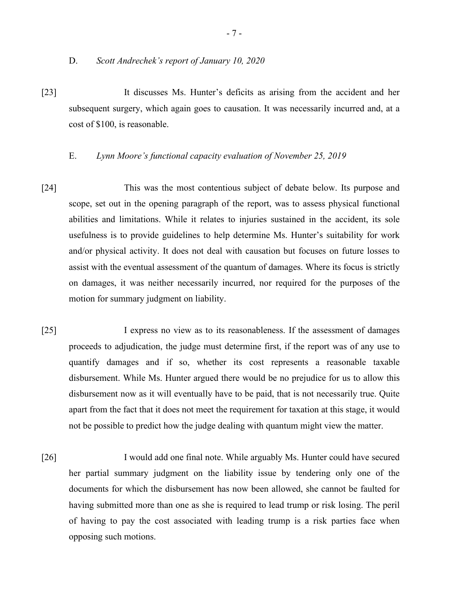[23] It discusses Ms. Hunter's deficits as arising from the accident and her subsequent surgery, which again goes to causation. It was necessarily incurred and, at a cost of \$100, is reasonable.

#### E. *Lynn Moore's functional capacity evaluation of November 25, 2019*

- [24] This was the most contentious subject of debate below. Its purpose and scope, set out in the opening paragraph of the report, was to assess physical functional abilities and limitations. While it relates to injuries sustained in the accident, its sole usefulness is to provide guidelines to help determine Ms. Hunter's suitability for work and/or physical activity. It does not deal with causation but focuses on future losses to assist with the eventual assessment of the quantum of damages. Where its focus is strictly on damages, it was neither necessarily incurred, nor required for the purposes of the motion for summary judgment on liability.
- [25] I express no view as to its reasonableness. If the assessment of damages proceeds to adjudication, the judge must determine first, if the report was of any use to quantify damages and if so, whether its cost represents a reasonable taxable disbursement. While Ms. Hunter argued there would be no prejudice for us to allow this disbursement now as it will eventually have to be paid, that is not necessarily true. Quite apart from the fact that it does not meet the requirement for taxation at this stage, it would not be possible to predict how the judge dealing with quantum might view the matter.
- [26] I would add one final note. While arguably Ms. Hunter could have secured her partial summary judgment on the liability issue by tendering only one of the documents for which the disbursement has now been allowed, she cannot be faulted for having submitted more than one as she is required to lead trump or risk losing. The peril of having to pay the cost associated with leading trump is a risk parties face when opposing such motions.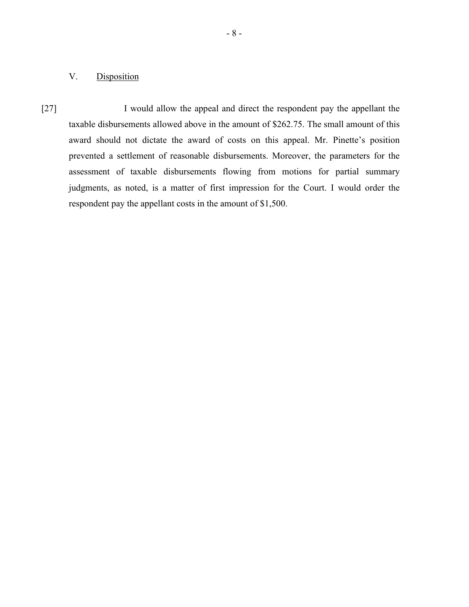# V. Disposition

[27] I would allow the appeal and direct the respondent pay the appellant the taxable disbursements allowed above in the amount of \$262.75. The small amount of this award should not dictate the award of costs on this appeal. Mr. Pinette's position prevented a settlement of reasonable disbursements. Moreover, the parameters for the assessment of taxable disbursements flowing from motions for partial summary judgments, as noted, is a matter of first impression for the Court. I would order the respondent pay the appellant costs in the amount of \$1,500.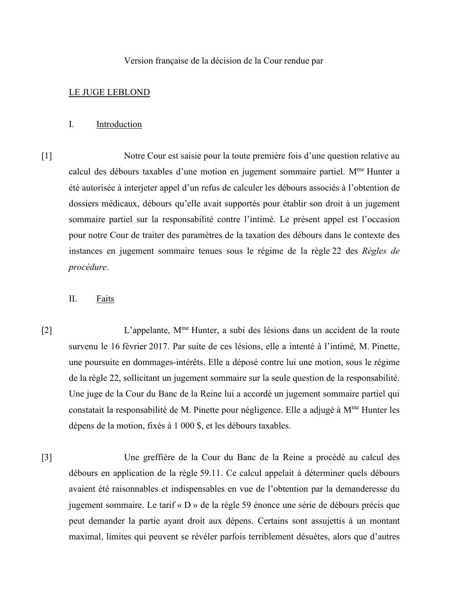Version française de la décision de la Cour rendue par

#### LE JUGE LEBLOND

#### I. Introduction

[1] Notre Cour est saisie pour la toute première fois d'une question relative au calcul des débours taxables d'une motion en jugement sommaire partiel. M<sup>me</sup> Hunter a été autorisée à interjeter appel d'un refus de calculer les débours associés à l'obtention de dossiers médicaux, débours qu'elle avait supportés pour établir son droit à un jugement sommaire partiel sur la responsabilité contre l'intimé. Le présent appel est l'occasion pour notre Cour de traiter des paramètres de la taxation des débours dans le contexte des instances en jugement sommaire tenues sous le régime de la règle 22 des *Règles de procédure*.

## II. Faits

[2] L'appelante, Mme Hunter, a subi des lésions dans un accident de la route survenu le 16 février 2017. Par suite de ces lésions, elle a intenté à l'intimé, M. Pinette, une poursuite en dommages-intérêts. Elle a déposé contre lui une motion, sous le régime de la règle 22, sollicitant un jugement sommaire sur la seule question de la responsabilité. Une juge de la Cour du Banc de la Reine lui a accordé un jugement sommaire partiel qui constatait la responsabilité de M. Pinette pour négligence. Elle a adjugé à M<sup>me</sup> Hunter les dépens de la motion, fixés à 1 000 \$, et les débours taxables.

[3] Une greffière de la Cour du Banc de la Reine a procédé au calcul des débours en application de la règle 59.11. Ce calcul appelait à déterminer quels débours avaient été raisonnables et indispensables en vue de l'obtention par la demanderesse du jugement sommaire. Le tarif « D » de la règle 59 énonce une série de débours précis que peut demander la partie ayant droit aux dépens. Certains sont assujettis à un montant maximal, limites qui peuvent se révéler parfois terriblement désuètes, alors que d'autres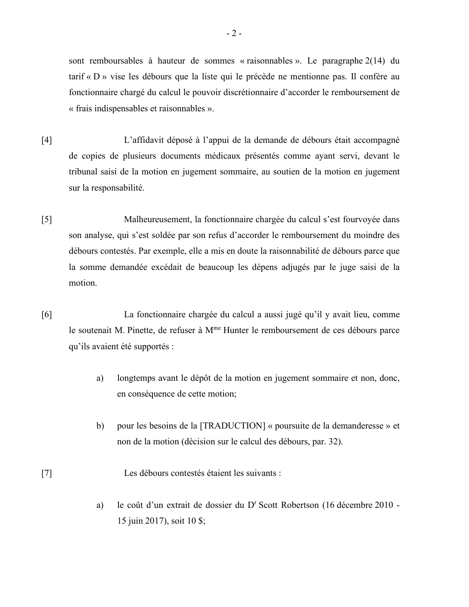sont remboursables à hauteur de sommes « raisonnables ». Le paragraphe 2(14) du tarif « D » vise les débours que la liste qui le précède ne mentionne pas. Il confère au fonctionnaire chargé du calcul le pouvoir discrétionnaire d'accorder le remboursement de « frais indispensables et raisonnables ».

- [4] L'affidavit déposé à l'appui de la demande de débours était accompagné de copies de plusieurs documents médicaux présentés comme ayant servi, devant le tribunal saisi de la motion en jugement sommaire, au soutien de la motion en jugement sur la responsabilité.
- [5] Malheureusement, la fonctionnaire chargée du calcul s'est fourvoyée dans son analyse, qui s'est soldée par son refus d'accorder le remboursement du moindre des débours contestés. Par exemple, elle a mis en doute la raisonnabilité de débours parce que la somme demandée excédait de beaucoup les dépens adjugés par le juge saisi de la motion.
- [6] La fonctionnaire chargée du calcul a aussi jugé qu'il y avait lieu, comme le soutenait M. Pinette, de refuser à M<sup>me</sup> Hunter le remboursement de ces débours parce qu'ils avaient été supportés :
	- a) longtemps avant le dépôt de la motion en jugement sommaire et non, donc, en conséquence de cette motion;
	- b) pour les besoins de la [TRADUCTION] « poursuite de la demanderesse » et non de la motion (décision sur le calcul des débours, par. 32).
- [7] Les débours contestés étaient les suivants :
	- a) le coût d'un extrait de dossier du D<sup>r</sup> Scott Robertson (16 décembre 2010 -15 juin 2017), soit 10 \$;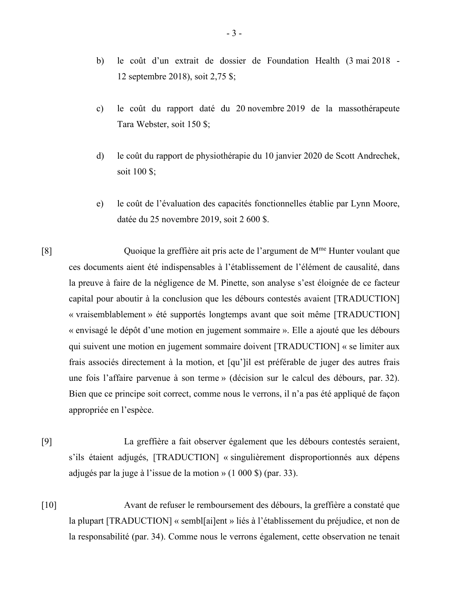- b) le coût d'un extrait de dossier de Foundation Health (3 mai 2018 12 septembre 2018), soit 2,75 \$;
- c) le coût du rapport daté du 20 novembre 2019 de la massothérapeute Tara Webster, soit 150 \$;
- d) le coût du rapport de physiothérapie du 10 janvier 2020 de Scott Andrechek, soit 100 \$;
- e) le coût de l'évaluation des capacités fonctionnelles établie par Lynn Moore, datée du 25 novembre 2019, soit 2 600 \$.

[8] Quoique la greffière ait pris acte de l'argument de Mme Hunter voulant que ces documents aient été indispensables à l'établissement de l'élément de causalité, dans la preuve à faire de la négligence de M. Pinette, son analyse s'est éloignée de ce facteur capital pour aboutir à la conclusion que les débours contestés avaient [TRADUCTION] « vraisemblablement » été supportés longtemps avant que soit même [TRADUCTION] « envisagé le dépôt d'une motion en jugement sommaire ». Elle a ajouté que les débours qui suivent une motion en jugement sommaire doivent [TRADUCTION] « se limiter aux frais associés directement à la motion, et [qu']il est préférable de juger des autres frais une fois l'affaire parvenue à son terme » (décision sur le calcul des débours, par. 32). Bien que ce principe soit correct, comme nous le verrons, il n'a pas été appliqué de façon appropriée en l'espèce.

- [9] La greffière a fait observer également que les débours contestés seraient, s'ils étaient adjugés, [TRADUCTION] « singulièrement disproportionnés aux dépens adjugés par la juge à l'issue de la motion » (1 000 \$) (par. 33).
- [10] Avant de refuser le remboursement des débours, la greffière a constaté que la plupart [TRADUCTION] « sembl[ai]ent » liés à l'établissement du préjudice, et non de la responsabilité (par. 34). Comme nous le verrons également, cette observation ne tenait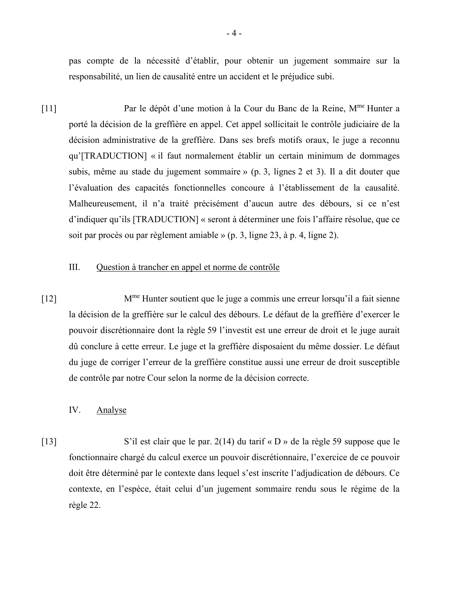pas compte de la nécessité d'établir, pour obtenir un jugement sommaire sur la responsabilité, un lien de causalité entre un accident et le préjudice subi.

[11] Par le dépôt d'une motion à la Cour du Banc de la Reine, Mme Hunter a porté la décision de la greffière en appel. Cet appel sollicitait le contrôle judiciaire de la décision administrative de la greffière. Dans ses brefs motifs oraux, le juge a reconnu qu'[TRADUCTION] « il faut normalement établir un certain minimum de dommages subis, même au stade du jugement sommaire » (p. 3, lignes 2 et 3). Il a dit douter que l'évaluation des capacités fonctionnelles concoure à l'établissement de la causalité. Malheureusement, il n'a traité précisément d'aucun autre des débours, si ce n'est d'indiquer qu'ils [TRADUCTION] « seront à déterminer une fois l'affaire résolue, que ce soit par procès ou par règlement amiable » (p. 3, ligne 23, à p. 4, ligne 2).

## III. Question à trancher en appel et norme de contrôle

[12] Mme Hunter soutient que le juge a commis une erreur lorsqu'il a fait sienne la décision de la greffière sur le calcul des débours. Le défaut de la greffière d'exercer le pouvoir discrétionnaire dont la règle 59 l'investit est une erreur de droit et le juge aurait dû conclure à cette erreur. Le juge et la greffière disposaient du même dossier. Le défaut du juge de corriger l'erreur de la greffière constitue aussi une erreur de droit susceptible de contrôle par notre Cour selon la norme de la décision correcte.

### IV. Analyse

[13] S'il est clair que le par. 2(14) du tarif « D » de la règle 59 suppose que le fonctionnaire chargé du calcul exerce un pouvoir discrétionnaire, l'exercice de ce pouvoir doit être déterminé par le contexte dans lequel s'est inscrite l'adjudication de débours. Ce contexte, en l'espèce, était celui d'un jugement sommaire rendu sous le régime de la règle 22.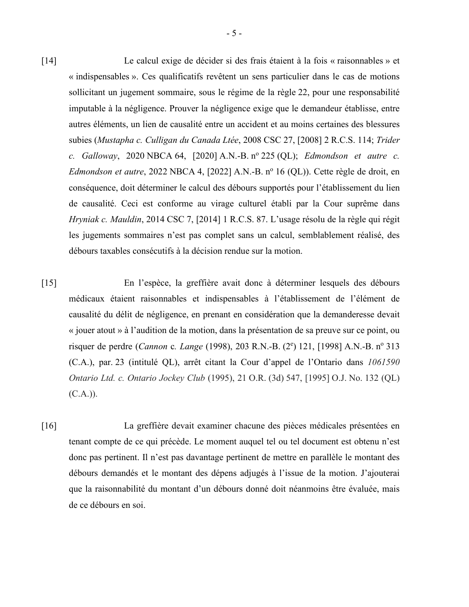- [14] Le calcul exige de décider si des frais étaient à la fois « raisonnables » et « indispensables ». Ces qualificatifs revêtent un sens particulier dans le cas de motions sollicitant un jugement sommaire, sous le régime de la règle 22, pour une responsabilité imputable à la négligence. Prouver la négligence exige que le demandeur établisse, entre autres éléments, un lien de causalité entre un accident et au moins certaines des blessures subies (*Mustapha c. Culligan du Canada Ltée*, 2008 CSC 27, [2008] 2 R.C.S. 114; *Trider c. Galloway*, 2020 NBCA 64, [2020] A.N.-B. n<sup>o</sup> 225 (QL); *Edmondson et autre c. Edmondson et autre*, 2022 NBCA 4, [2022] A.N.-B. n<sup>o</sup> 16 (QL)). Cette règle de droit, en conséquence, doit déterminer le calcul des débours supportés pour l'établissement du lien de causalité. Ceci est conforme au virage culturel établi par la Cour suprême dans *Hryniak c. Mauldin*, 2014 CSC 7, [2014] 1 R.C.S. 87. L'usage résolu de la règle qui régit les jugements sommaires n'est pas complet sans un calcul, semblablement réalisé, des débours taxables consécutifs à la décision rendue sur la motion.
- [15] En l'espèce, la greffière avait donc à déterminer lesquels des débours médicaux étaient raisonnables et indispensables à l'établissement de l'élément de causalité du délit de négligence, en prenant en considération que la demanderesse devait « jouer atout » à l'audition de la motion, dans la présentation de sa preuve sur ce point, ou risquer de perdre (*Cannon c. Lange* (1998), 203 R.N.-B. (2<sup>e</sup>) 121, [1998] A.N.-B. n<sup>o</sup> 313 (C.A.), par. 23 (intitulé QL), arrêt citant la Cour d'appel de l'Ontario dans *1061590 Ontario Ltd. c. Ontario Jockey Club* (1995), 21 O.R. (3d) 547, [1995] O.J. No. 132 (QL)  $(C.A.)$ ).
- [16] La greffière devait examiner chacune des pièces médicales présentées en tenant compte de ce qui précède. Le moment auquel tel ou tel document est obtenu n'est donc pas pertinent. Il n'est pas davantage pertinent de mettre en parallèle le montant des débours demandés et le montant des dépens adjugés à l'issue de la motion. J'ajouterai que la raisonnabilité du montant d'un débours donné doit néanmoins être évaluée, mais de ce débours en soi.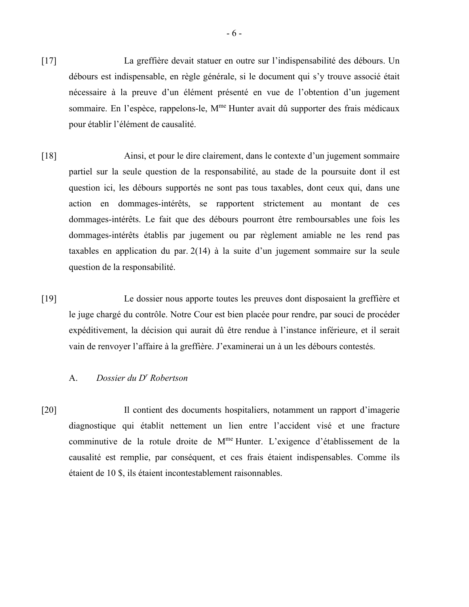- [17] La greffière devait statuer en outre sur l'indispensabilité des débours. Un débours est indispensable, en règle générale, si le document qui s'y trouve associé était nécessaire à la preuve d'un élément présenté en vue de l'obtention d'un jugement sommaire. En l'espèce, rappelons-le, M<sup>me</sup> Hunter avait dû supporter des frais médicaux pour établir l'élément de causalité.
- [18] Ainsi, et pour le dire clairement, dans le contexte d'un jugement sommaire partiel sur la seule question de la responsabilité, au stade de la poursuite dont il est question ici, les débours supportés ne sont pas tous taxables, dont ceux qui, dans une action en dommages-intérêts, se rapportent strictement au montant de ces dommages-intérêts. Le fait que des débours pourront être remboursables une fois les dommages-intérêts établis par jugement ou par règlement amiable ne les rend pas taxables en application du par. 2(14) à la suite d'un jugement sommaire sur la seule question de la responsabilité.
- [19] Le dossier nous apporte toutes les preuves dont disposaient la greffière et le juge chargé du contrôle. Notre Cour est bien placée pour rendre, par souci de procéder expéditivement, la décision qui aurait dû être rendue à l'instance inférieure, et il serait vain de renvoyer l'affaire à la greffière. J'examinerai un à un les débours contestés.

### A. *Dossier du Dr Robertson*

[20] Il contient des documents hospitaliers, notamment un rapport d'imagerie diagnostique qui établit nettement un lien entre l'accident visé et une fracture comminutive de la rotule droite de Mme Hunter. L'exigence d'établissement de la causalité est remplie, par conséquent, et ces frais étaient indispensables. Comme ils étaient de 10 \$, ils étaient incontestablement raisonnables.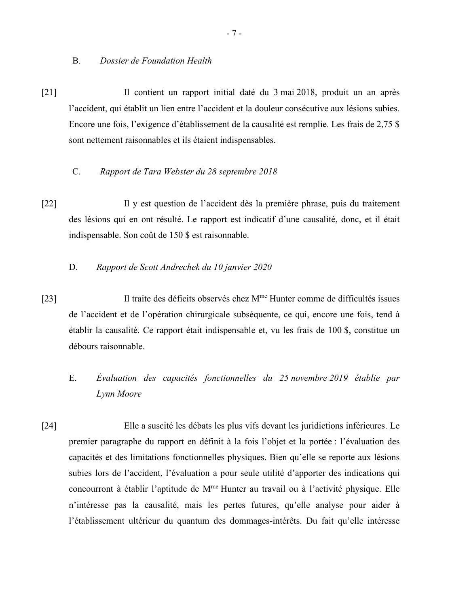B. *Dossier de Foundation Health*

[21] Il contient un rapport initial daté du 3 mai 2018, produit un an après l'accident, qui établit un lien entre l'accident et la douleur consécutive aux lésions subies. Encore une fois, l'exigence d'établissement de la causalité est remplie. Les frais de 2,75 \$ sont nettement raisonnables et ils étaient indispensables.

## C. *Rapport de Tara Webster du 28 septembre 2018*

- [22] Il y est question de l'accident dès la première phrase, puis du traitement des lésions qui en ont résulté. Le rapport est indicatif d'une causalité, donc, et il était indispensable. Son coût de 150 \$ est raisonnable.
	- D. *Rapport de Scott Andrechek du 10 janvier 2020*
- [23] Il traite des déficits observés chez M<sup>me</sup> Hunter comme de difficultés issues de l'accident et de l'opération chirurgicale subséquente, ce qui, encore une fois, tend à établir la causalité. Ce rapport était indispensable et, vu les frais de 100 \$, constitue un débours raisonnable.
	- E. *Évaluation des capacités fonctionnelles du 25 novembre 2019 établie par Lynn Moore*
- [24] Elle a suscité les débats les plus vifs devant les juridictions inférieures. Le premier paragraphe du rapport en définit à la fois l'objet et la portée : l'évaluation des capacités et des limitations fonctionnelles physiques. Bien qu'elle se reporte aux lésions subies lors de l'accident, l'évaluation a pour seule utilité d'apporter des indications qui concourront à établir l'aptitude de M<sup>me</sup> Hunter au travail ou à l'activité physique. Elle n'intéresse pas la causalité, mais les pertes futures, qu'elle analyse pour aider à l'établissement ultérieur du quantum des dommages-intérêts. Du fait qu'elle intéresse